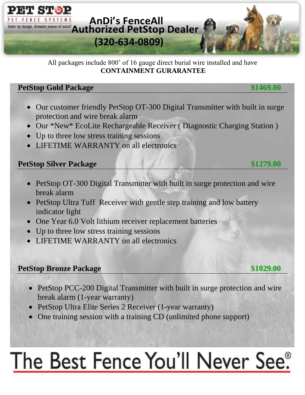

All packages include 800' of 16 gauge direct burial wire installed and have **CONTAINMENT GURARANTEE**

### **PetStop Gold Package \$1469.00**

- Our customer friendly PetStop OT-300 Digital Transmitter with built in surge protection and wire break alarm
- Our \*New\* EcoLite Rechargeable Receiver (Diagnostic Charging Station)
- Up to three low stress training sessions
- LIFETIME WARRANTY on all electronics

#### **PetStop Silver Package \$1279.00**

- PetStop OT-300 Digital Transmitter with built in surge protection and wire break alarm
- PetStop Ultra Tuff Receiver with gentle step training and low battery indicator light
- One Year 6.0 Volt lithium receiver replacement batteries
- Up to three low stress training sessions
- LIFETIME WARRANTY on all electronics

#### **PetStop Bronze Package \$1029.00**

- PetStop PCC-200 Digital Transmitter with built in surge protection and wire
- break alarm (1-year warranty)
- PetStop Ultra Elite Series 2 Receiver (1-year warranty)
- One training session with a training CD (unlimited phone support)

# The Best Fence You'll Never See®